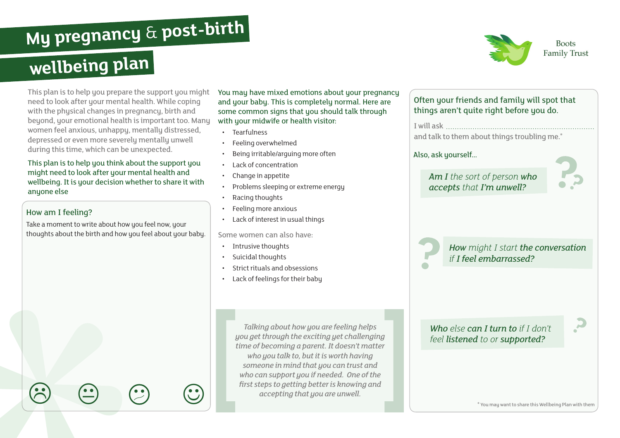# **My pregnancy** & **post-birth**

## **wellbeing plan**

This plan is to help you prepare the support you might need to look after your mental health. While coping with the phusical changes in pregnancy, birth and beyond, your emotional health is important too. Many women feel anxious, unhappy, mentally distressed, depressed or even more severely mentally unwell during this time, which can be unexpected.

#### This plan is to help you think about the support you might need to look after your mental health and wellbeing. It is your decision whether to share it with anyone else

#### How am I feeling?

Take a moment to write about how you feel now, your thoughts about the birth and how you feel about your baby.

 $\circledcirc \quad \circledcirc \quad \circledcirc$ 

You may have mixed emotions about your pregnancy and your baby. This is completely normal. Here are some common signs that you should talk through with your midwife or health visitor:

- Tearfulness
- Feeling overwhelmed
- Being irritable/arguing more often
- Lack of concentration
- Change in appetite
- Problems sleeping or extreme energy
- Racing thoughts
- Feeling more anxious
- Lack of interest in usual things

#### Some women can also have:

- Intrusive thoughts
- Suicidal thoughts
- Strict rituals and obsessions
- Lack of feelings for their baby

*Talking about how you are feeling helps you get through the exciting yet challenging time of becoming a parent. It doesn't matter who you talk to, but it is worth having someone in mind that you can trust and who can support you if needed. One of the first steps to getting better is knowing and accepting that you are unwell.*



**Boots Family Trust** 

\* You may want to share this Wellbeing Plan with them